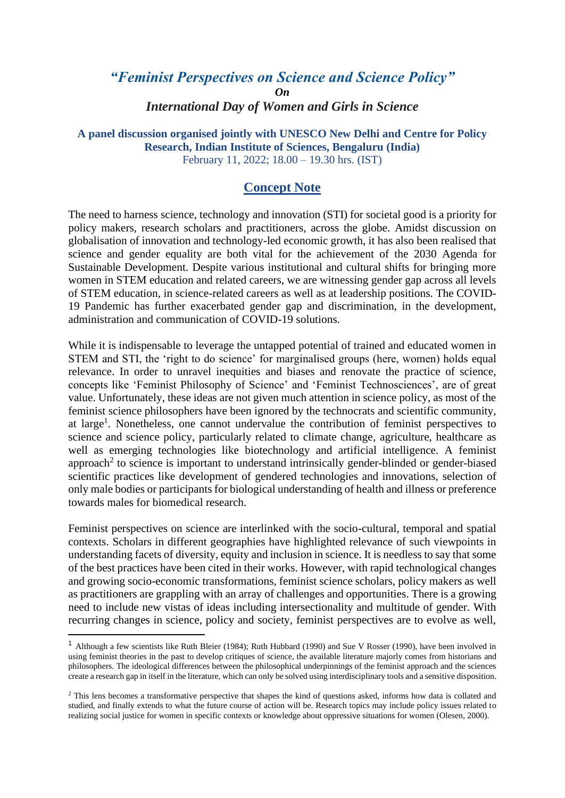## *"Feminist Perspectives on Science and Science Policy" On International Day of Women and Girls in Science*

## **A panel discussion organised jointly with UNESCO New Delhi and Centre for Policy Research, Indian Institute of Sciences, Bengaluru (India)** February 11, 2022; 18.00 – 19.30 hrs. (IST)

## **Concept Note**

The need to harness science, technology and innovation (STI) for societal good is a priority for policy makers, research scholars and practitioners, across the globe. Amidst discussion on globalisation of innovation and technology-led economic growth, it has also been realised that science and gender equality are both vital for the achievement of the 2030 Agenda for Sustainable Development. Despite various institutional and cultural shifts for bringing more women in STEM education and related careers, we are witnessing gender gap across all levels of STEM education, in science-related careers as well as at leadership positions. The COVID-19 Pandemic has further exacerbated gender gap and discrimination, in the development, administration and communication of COVID-19 solutions.

While it is indispensable to leverage the untapped potential of trained and educated women in STEM and STI, the 'right to do science' for marginalised groups (here, women) holds equal relevance. In order to unravel inequities and biases and renovate the practice of science, concepts like 'Feminist Philosophy of Science' and 'Feminist Technosciences', are of great value. Unfortunately, these ideas are not given much attention in science policy, as most of the feminist science philosophers have been ignored by the technocrats and scientific community, at large<sup>1</sup>. Nonetheless, one cannot undervalue the contribution of feminist perspectives to science and science policy, particularly related to climate change, agriculture, healthcare as well as emerging technologies like biotechnology and artificial intelligence. A feminist approach<sup>2</sup> to science is important to understand intrinsically gender-blinded or gender-biased scientific practices like development of gendered technologies and innovations, selection of only male bodies or participants for biological understanding of health and illness or preference towards males for biomedical research.

Feminist perspectives on science are interlinked with the socio-cultural, temporal and spatial contexts. Scholars in different geographies have highlighted relevance of such viewpoints in understanding facets of diversity, equity and inclusion in science. It is needless to say that some of the best practices have been cited in their works. However, with rapid technological changes and growing socio-economic transformations, feminist science scholars, policy makers as well as practitioners are grappling with an array of challenges and opportunities. There is a growing need to include new vistas of ideas including intersectionality and multitude of gender. With recurring changes in science, policy and society, feminist perspectives are to evolve as well,

<sup>1</sup> Although a few scientists like Ruth Bleier (1984); Ruth Hubbard (1990) and Sue V Rosser (1990), have been involved in using feminist theories in the past to develop critiques of science, the available literature majorly comes from historians and philosophers. The ideological differences between the philosophical underpinnings of the feminist approach and the sciences create a research gap in itself in the literature, which can only be solved using interdisciplinary tools and a sensitive disposition.

<sup>&</sup>lt;sup>2</sup> This lens becomes a transformative perspective that shapes the kind of questions asked, informs how data is collated and studied, and finally extends to what the future course of action will be. Research topics may include policy issues related to realizing social justice for women in specific contexts or knowledge about oppressive situations for women (Olesen, 2000).